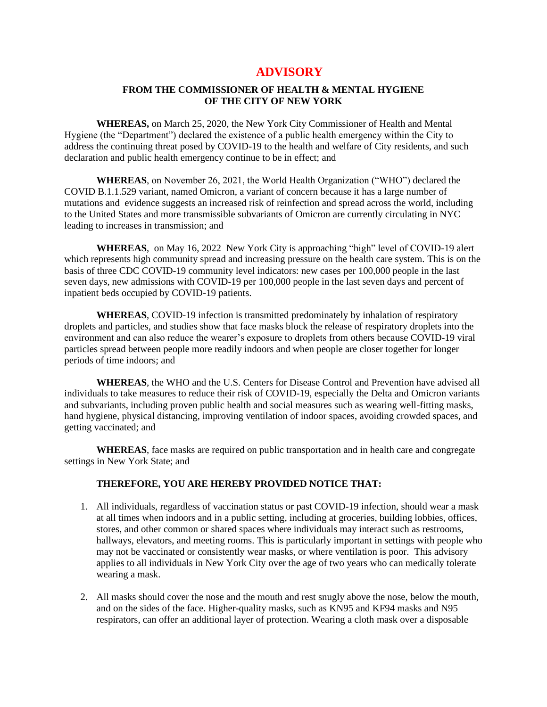## **ADVISORY**

## **FROM THE COMMISSIONER OF HEALTH & MENTAL HYGIENE OF THE CITY OF NEW YORK**

**WHEREAS,** on March 25, 2020, the New York City Commissioner of Health and Mental Hygiene (the "Department") declared the existence of a public health emergency within the City to address the continuing threat posed by COVID-19 to the health and welfare of City residents, and such declaration and public health emergency continue to be in effect; and

**WHEREAS**, on November 26, 2021, the World Health Organization ("WHO") declared the COVID B.1.1.529 variant, named Omicron, a variant of concern because it has a large number of mutations and evidence suggests an increased risk of reinfection and spread across the world, including to the United States and more transmissible subvariants of Omicron are currently circulating in NYC leading to increases in transmission; and

**WHEREAS**, on May 16, 2022 New York City is approaching "high" level of COVID-19 alert which represents high community spread and increasing pressure on the health care system. This is on the basis of three CDC COVID-19 community level indicators: new cases per 100,000 people in the last seven days, new admissions with COVID-19 per 100,000 people in the last seven days and percent of inpatient beds occupied by COVID-19 patients.

**WHEREAS**, COVID-19 infection is transmitted predominately by inhalation of respiratory droplets and particles, and studies show that face masks block the release of respiratory droplets into the environment and can also reduce the wearer's exposure to droplets from others because COVID-19 viral particles spread between people more readily indoors and when people are closer together for longer periods of time indoors; and

**WHEREAS**, the WHO and the U.S. Centers for Disease Control and Prevention have advised all individuals to take measures to reduce their risk of COVID-19, especially the Delta and Omicron variants and subvariants, including proven public health and social measures such as wearing well-fitting masks, hand hygiene, physical distancing, improving ventilation of indoor spaces, avoiding crowded spaces, and getting vaccinated; and

**WHEREAS**, face masks are required on public transportation and in health care and congregate settings in New York State; and

## **THEREFORE, YOU ARE HEREBY PROVIDED NOTICE THAT:**

- 1. All individuals, regardless of vaccination status or past COVID-19 infection, should wear a mask at all times when indoors and in a public setting, including at groceries, building lobbies, offices, stores, and other common or shared spaces where individuals may interact such as restrooms, hallways, elevators, and meeting rooms. This is particularly important in settings with people who may not be vaccinated or consistently wear masks, or where ventilation is poor. This advisory applies to all individuals in New York City over the age of two years who can medically tolerate wearing a mask.
- 2. All masks should cover the nose and the mouth and rest snugly above the nose, below the mouth, and on the sides of the face. Higher-quality masks, such as KN95 and KF94 masks and N95 respirators, can offer an additional layer of protection. Wearing a cloth mask over a disposable